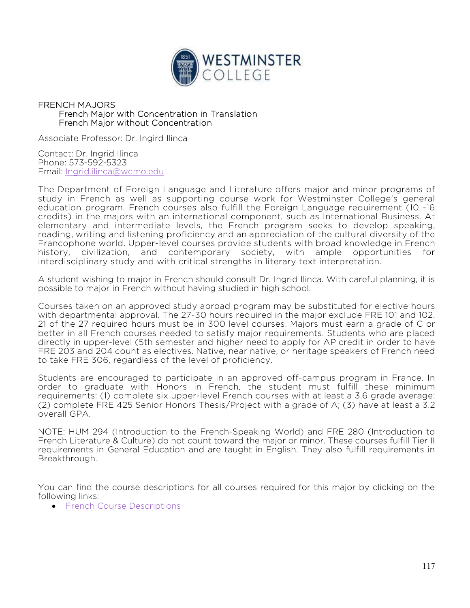

## FRENCH MAJORS French Major with Concentration in Translation French Major without Concentration

Associate Professor: Dr. Ingird Ilinca

Contact: Dr. Ingrid Ilinca Phone: 573-592-5323 Email: Ingrid.ilinca@wcmo.edu

The Department of Foreign Language and Literature offers major and minor programs of study in French as well as supporting course work for Westminster College's general education program. French courses also fulfill the Foreign Language requirement (10 -16 credits) in the majors with an international component, such as International Business. At elementary and intermediate levels, the French program seeks to develop speaking, reading, writing and listening proficiency and an appreciation of the cultural diversity of the Francophone world. Upper-level courses provide students with broad knowledge in French history, civilization, and contemporary society, with ample opportunities for interdisciplinary study and with critical strengths in literary text interpretation.

A student wishing to major in French should consult Dr. Ingrid Ilinca. With careful planning, it is possible to major in French without having studied in high school.

Courses taken on an approved study abroad program may be substituted for elective hours with departmental approval. The 27-30 hours required in the major exclude FRE 101 and 102. 21 of the 27 required hours must be in 300 level courses. Majors must earn a grade of C or better in all French courses needed to satisfy major requirements. Students who are placed directly in upper-level (5th semester and higher need to apply for AP credit in order to have FRE 203 and 204 count as electives. Native, near native, or heritage speakers of French need to take FRE 306, regardless of the level of proficiency.

Students are encouraged to participate in an approved off-campus program in France. In order to graduate with Honors in French, the student must fulfill these minimum requirements: (1) complete six upper-level French courses with at least a 3.6 grade average; (2) complete FRE 425 Senior Honors Thesis/Project with a grade of A; (3) have at least a 3.2 overall GPA.

NOTE: HUM 294 (Introduction to the French-Speaking World) and FRE 280 (Introduction to French Literature & Culture) do not count toward the major or minor. These courses fulfill Tier II requirements in General Education and are taught in English. They also fulfill requirements in Breakthrough.

You can find the course descriptions for all courses required for this major by clicking on the following links:

**•** French Course Descriptions